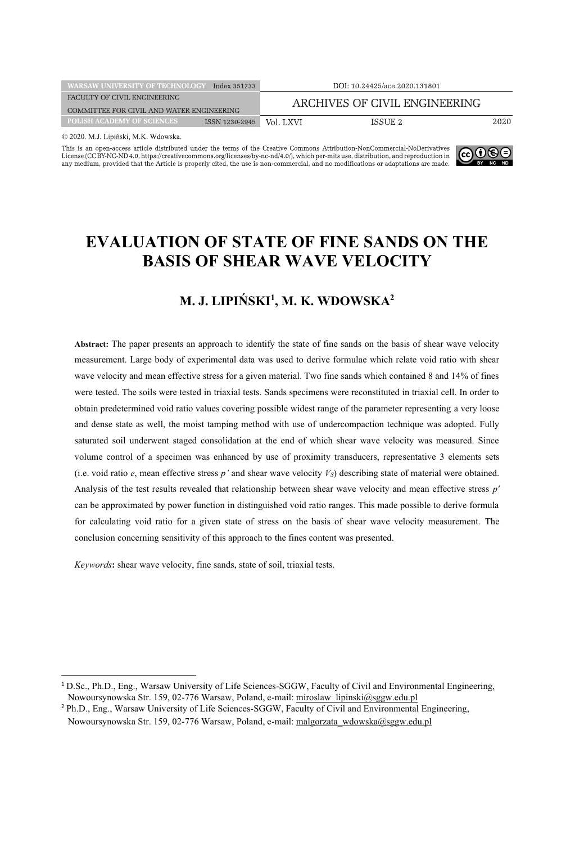| <b>WARSAW UNIVERSITY OF TECHNOLOGY</b>              | Index 351733 | DOI: 10.24425/ace.2020.131801 |      |
|-----------------------------------------------------|--------------|-------------------------------|------|
| FACULTY OF CIVIL ENGINEERING                        |              | ARCHIVES OF CIVIL ENGINEERING |      |
| COMMITTEE FOR CIVIL AND WATER ENGINEERING           |              |                               |      |
| <b>POLISH ACADEMY OF SCIENCES</b><br>ISSN 1230-2945 | Vol. LXVI    | ISSUE 2                       | 2020 |
| $\otimes$ 0000 MITT: $\ddots$ and MIT Williams      |              |                               |      |

© 2020. M.J. Lipiński, M.K. Wdowska

This is an open-access article distributed under the terms of the Creative Commons Attribution-NonCommercial-NoDerivatives License (CC BY-NC-ND 4.0, https://creativecommons.org/licenses/by-nc-nd/4.0/), which per-mits use, distribution, and reproduction in<br>any medium, provided that the Article is properly cited, the use is non-commercial, and n



# **EVALUATION OF STATE OF FINE SANDS ON THE BASIS OF SHEAR WAVE VELOCITY**

## **M. J. LIPIŃSKI1 , M. K. WDOWSKA2**

**Abstract:** The paper presents an approach to identify the state of fine sands on the basis of shear wave velocity measurement. Large body of experimental data was used to derive formulae which relate void ratio with shear wave velocity and mean effective stress for a given material. Two fine sands which contained 8 and 14% of fines were tested. The soils were tested in triaxial tests. Sands specimens were reconstituted in triaxial cell. In order to obtain predetermined void ratio values covering possible widest range of the parameter representing a very loose and dense state as well, the moist tamping method with use of undercompaction technique was adopted. Fully saturated soil underwent staged consolidation at the end of which shear wave velocity was measured. Since volume control of a specimen was enhanced by use of proximity transducers, representative 3 elements sets (i.e. void ratio  $e$ , mean effective stress  $p'$  and shear wave velocity  $V_s$ ) describing state of material were obtained. Analysis of the test results revealed that relationship between shear wave velocity and mean effective stress *p'* can be approximated by power function in distinguished void ratio ranges. This made possible to derive formula for calculating void ratio for a given state of stress on the basis of shear wave velocity measurement. The conclusion concerning sensitivity of this approach to the fines content was presented.

*Keywords***:** shear wave velocity, fine sands, state of soil, triaxial tests.

<sup>1</sup> D.Sc., Ph.D., Eng., Warsaw University of Life Sciences-SGGW, Faculty of Civil and Environmental Engineering, Nowoursynowska Str. 159, 02-776 Warsaw, Poland, e-mail: miroslaw\_lipinski@sggw.edu.pl<br><sup>2</sup> Ph.D., Eng., Warsaw University of Life Sciences-SGGW, Faculty of Civil and Environmental Engineering,

Nowoursynowska Str. 159, 02-776 Warsaw, Poland, e-mail: malgorzata\_wdowska@sggw.edu.pl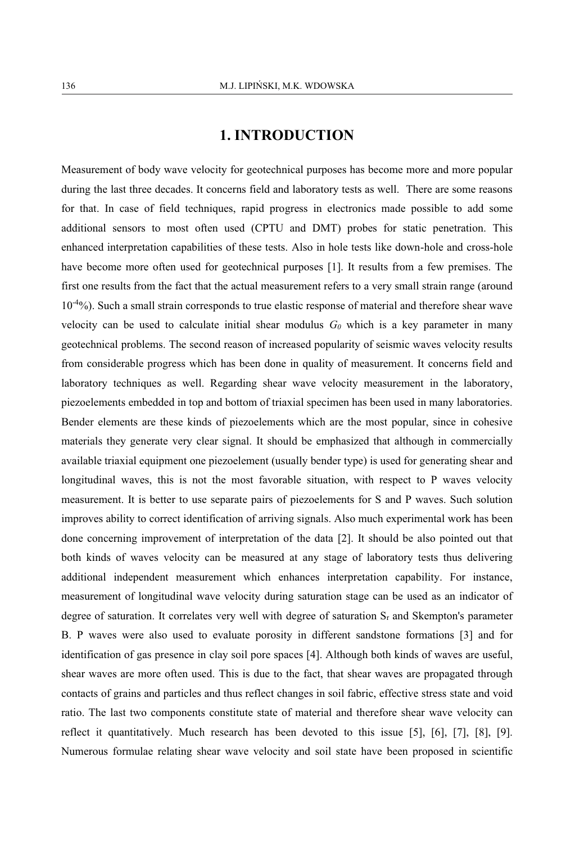### **1. INTRODUCTION**

Measurement of body wave velocity for geotechnical purposes has become more and more popular during the last three decades. It concerns field and laboratory tests as well. There are some reasons for that. In case of field techniques, rapid progress in electronics made possible to add some additional sensors to most often used (CPTU and DMT) probes for static penetration. This enhanced interpretation capabilities of these tests. Also in hole tests like down-hole and cross-hole have become more often used for geotechnical purposes [1]. It results from a few premises. The first one results from the fact that the actual measurement refers to a very small strain range (around  $10^{-4}\%$ ). Such a small strain corresponds to true elastic response of material and therefore shear wave velocity can be used to calculate initial shear modulus  $G<sub>0</sub>$  which is a key parameter in many geotechnical problems. The second reason of increased popularity of seismic waves velocity results from considerable progress which has been done in quality of measurement. It concerns field and laboratory techniques as well. Regarding shear wave velocity measurement in the laboratory, piezoelements embedded in top and bottom of triaxial specimen has been used in many laboratories. Bender elements are these kinds of piezoelements which are the most popular, since in cohesive materials they generate very clear signal. It should be emphasized that although in commercially available triaxial equipment one piezoelement (usually bender type) is used for generating shear and longitudinal waves, this is not the most favorable situation, with respect to P waves velocity measurement. It is better to use separate pairs of piezoelements for S and P waves. Such solution improves ability to correct identification of arriving signals. Also much experimental work has been done concerning improvement of interpretation of the data [2]. It should be also pointed out that both kinds of waves velocity can be measured at any stage of laboratory tests thus delivering additional independent measurement which enhances interpretation capability. For instance, measurement of longitudinal wave velocity during saturation stage can be used as an indicator of degree of saturation. It correlates very well with degree of saturation  $S_r$  and Skempton's parameter B. P waves were also used to evaluate porosity in different sandstone formations [3] and for identification of gas presence in clay soil pore spaces [4]. Although both kinds of waves are useful, shear waves are more often used. This is due to the fact, that shear waves are propagated through contacts of grains and particles and thus reflect changes in soil fabric, effective stress state and void ratio. The last two components constitute state of material and therefore shear wave velocity can reflect it quantitatively. Much research has been devoted to this issue [5], [6], [7], [8], [9]. Numerous formulae relating shear wave velocity and soil state have been proposed in scientific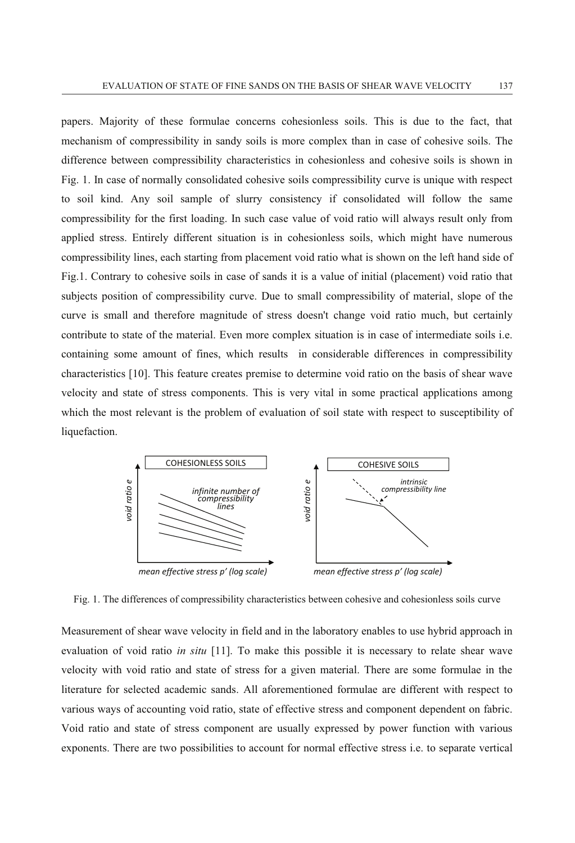papers. Majority of these formulae concerns cohesionless soils. This is due to the fact, that mechanism of compressibility in sandy soils is more complex than in case of cohesive soils. The difference between compressibility characteristics in cohesionless and cohesive soils is shown in Fig. 1. In case of normally consolidated cohesive soils compressibility curve is unique with respect to soil kind. Any soil sample of slurry consistency if consolidated will follow the same compressibility for the first loading. In such case value of void ratio will always result only from applied stress. Entirely different situation is in cohesionless soils, which might have numerous compressibility lines, each starting from placement void ratio what is shown on the left hand side of Fig.1. Contrary to cohesive soils in case of sands it is a value of initial (placement) void ratio that subjects position of compressibility curve. Due to small compressibility of material, slope of the curve is small and therefore magnitude of stress doesn't change void ratio much, but certainly contribute to state of the material. Even more complex situation is in case of intermediate soils i.e. containing some amount of fines, which results in considerable differences in compressibility characteristics [10]. This feature creates premise to determine void ratio on the basis of shear wave velocity and state of stress components. This is very vital in some practical applications among which the most relevant is the problem of evaluation of soil state with respect to susceptibility of liquefaction.



Fig. 1. The differences of compressibility characteristics between cohesive and cohesionless soils curve

Measurement of shear wave velocity in field and in the laboratory enables to use hybrid approach in evaluation of void ratio *in situ* [11]. To make this possible it is necessary to relate shear wave velocity with void ratio and state of stress for a given material. There are some formulae in the literature for selected academic sands. All aforementioned formulae are different with respect to various ways of accounting void ratio, state of effective stress and component dependent on fabric. Void ratio and state of stress component are usually expressed by power function with various exponents. There are two possibilities to account for normal effective stress i.e. to separate vertical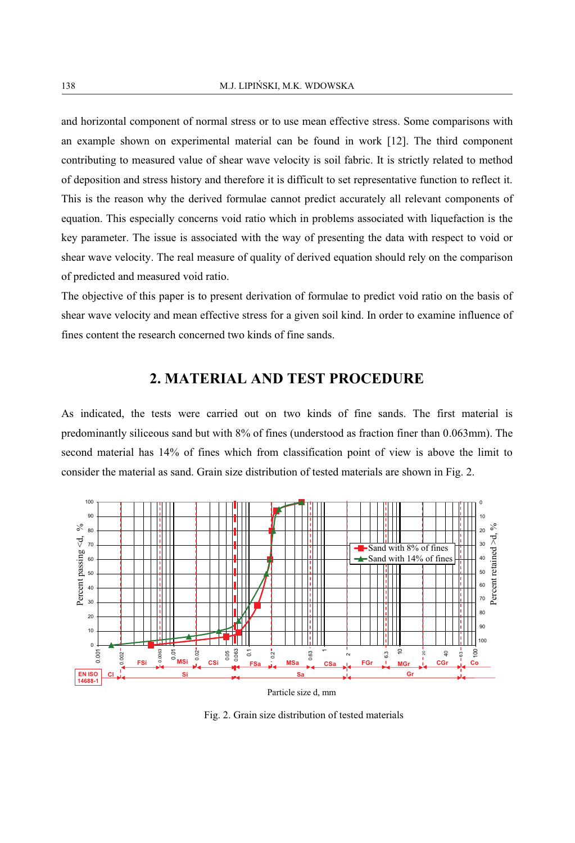and horizontal component of normal stress or to use mean effective stress. Some comparisons with an example shown on experimental material can be found in work [12]. The third component contributing to measured value of shear wave velocity is soil fabric. It is strictly related to method of deposition and stress history and therefore it is difficult to set representative function to reflect it. This is the reason why the derived formulae cannot predict accurately all relevant components of equation. This especially concerns void ratio which in problems associated with liquefaction is the key parameter. The issue is associated with the way of presenting the data with respect to void or shear wave velocity. The real measure of quality of derived equation should rely on the comparison of predicted and measured void ratio.

The objective of this paper is to present derivation of formulae to predict void ratio on the basis of shear wave velocity and mean effective stress for a given soil kind. In order to examine influence of fines content the research concerned two kinds of fine sands.

### **2. MATERIAL AND TEST PROCEDURE**

As indicated, the tests were carried out on two kinds of fine sands. The first material is predominantly siliceous sand but with 8% of fines (understood as fraction finer than 0.063mm). The second material has 14% of fines which from classification point of view is above the limit to consider the material as sand. Grain size distribution of tested materials are shown in Fig. 2.



Particle size d, mm

Fig. 2. Grain size distribution of tested materials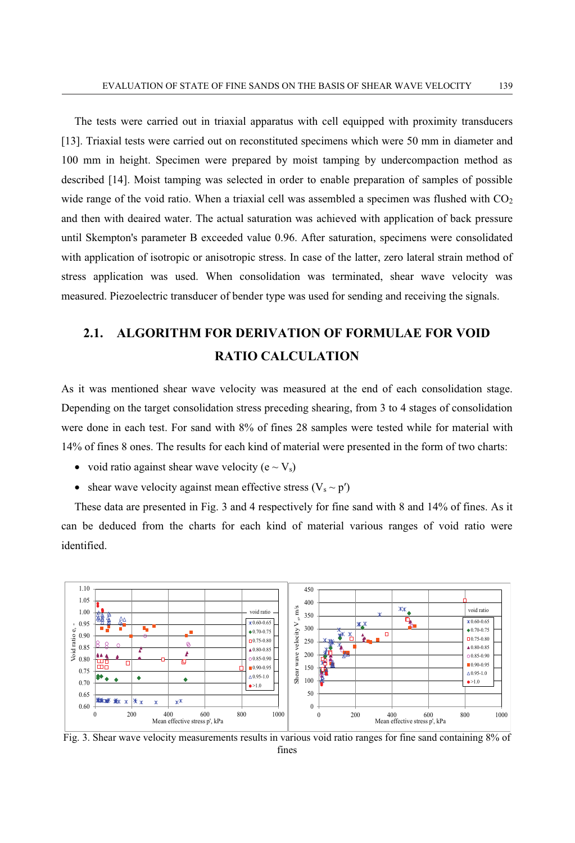The tests were carried out in triaxial apparatus with cell equipped with proximity transducers [13]. Triaxial tests were carried out on reconstituted specimens which were 50 mm in diameter and 100 mm in height. Specimen were prepared by moist tamping by undercompaction method as described [14]. Moist tamping was selected in order to enable preparation of samples of possible wide range of the void ratio. When a triaxial cell was assembled a specimen was flushed with  $CO<sub>2</sub>$ and then with deaired water. The actual saturation was achieved with application of back pressure until Skempton's parameter B exceeded value 0.96. After saturation, specimens were consolidated with application of isotropic or anisotropic stress. In case of the latter, zero lateral strain method of stress application was used. When consolidation was terminated, shear wave velocity was measured. Piezoelectric transducer of bender type was used for sending and receiving the signals.

## **2.1. ALGORITHM FOR DERIVATION OF FORMULAE FOR VOID RATIO CALCULATION**

As it was mentioned shear wave velocity was measured at the end of each consolidation stage. Depending on the target consolidation stress preceding shearing, from 3 to 4 stages of consolidation were done in each test. For sand with 8% of fines 28 samples were tested while for material with 14% of fines 8 ones. The results for each kind of material were presented in the form of two charts:

- void ratio against shear wave velocity ( $e \sim V_s$ )
- shear wave velocity against mean effective stress  $(V_s \sim p')$

These data are presented in Fig. 3 and 4 respectively for fine sand with 8 and 14% of fines. As it can be deduced from the charts for each kind of material various ranges of void ratio were identified.



Fig. 3. Shear wave velocity measurements results in various void ratio ranges for fine sand containing 8% of fines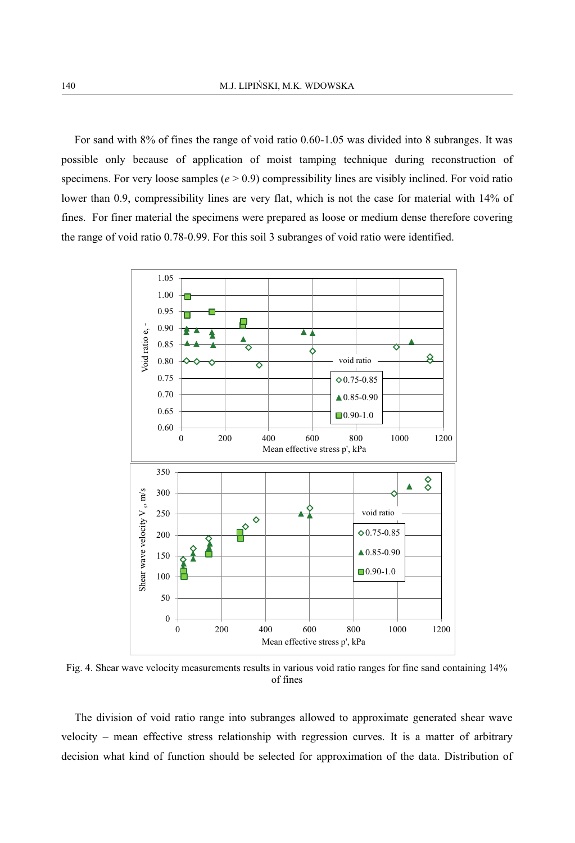For sand with 8% of fines the range of void ratio 0.60-1.05 was divided into 8 subranges. It was possible only because of application of moist tamping technique during reconstruction of specimens. For very loose samples  $(e > 0.9)$  compressibility lines are visibly inclined. For void ratio lower than 0.9, compressibility lines are very flat, which is not the case for material with 14% of fines. For finer material the specimens were prepared as loose or medium dense therefore covering the range of void ratio 0.78-0.99. For this soil 3 subranges of void ratio were identified.



Fig. 4. Shear wave velocity measurements results in various void ratio ranges for fine sand containing 14% of fines

The division of void ratio range into subranges allowed to approximate generated shear wave velocity – mean effective stress relationship with regression curves. It is a matter of arbitrary decision what kind of function should be selected for approximation of the data. Distribution of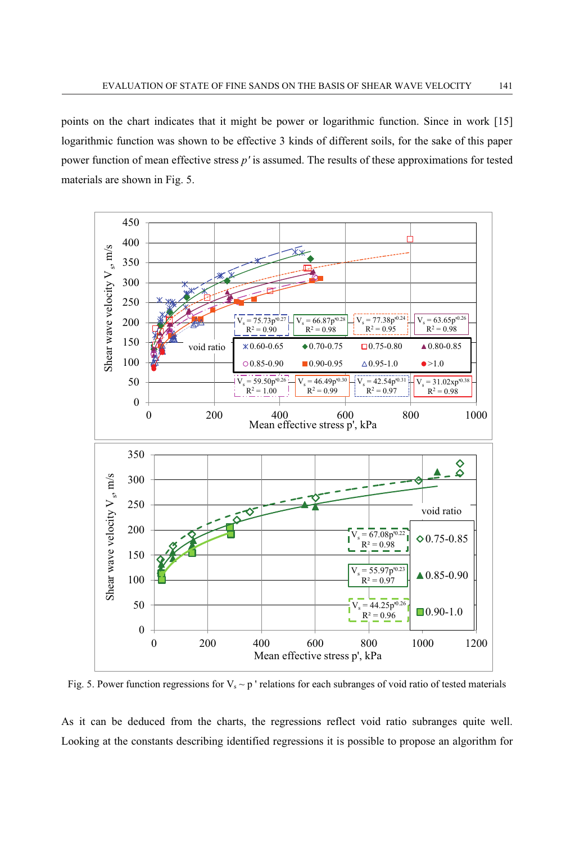points on the chart indicates that it might be power or logarithmic function. Since in work [15] logarithmic function was shown to be effective 3 kinds of different soils, for the sake of this paper power function of mean effective stress *p'* is assumed. The results of these approximations for tested materials are shown in Fig. 5.



Fig. 5. Power function regressions for  $V_s \sim p'$  relations for each subranges of void ratio of tested materials

As it can be deduced from the charts, the regressions reflect void ratio subranges quite well. Looking at the constants describing identified regressions it is possible to propose an algorithm for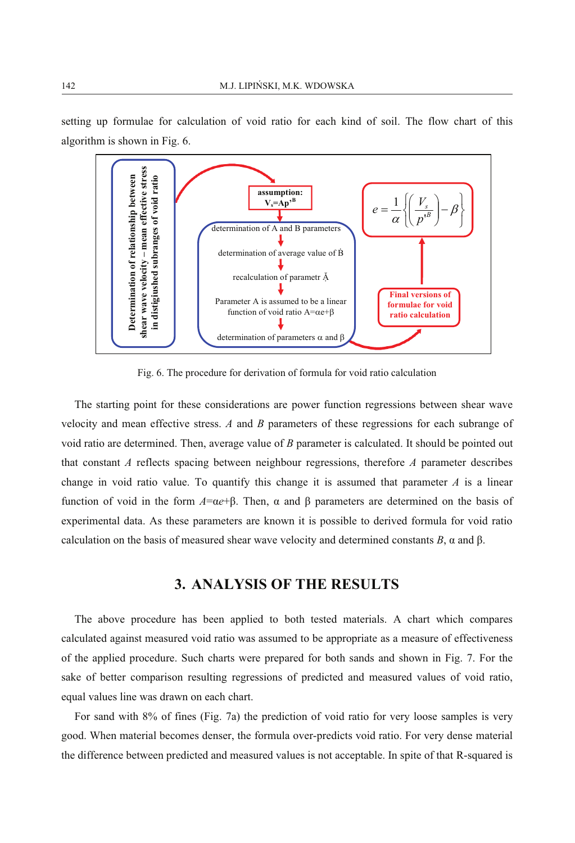

setting up formulae for calculation of void ratio for each kind of soil. The flow chart of this algorithm is shown in Fig. 6.

Fig. 6. The procedure for derivation of formula for void ratio calculation

The starting point for these considerations are power function regressions between shear wave velocity and mean effective stress. *A* and *B* parameters of these regressions for each subrange of void ratio are determined. Then, average value of *B* parameter is calculated. It should be pointed out that constant *A* reflects spacing between neighbour regressions, therefore *A* parameter describes change in void ratio value. To quantify this change it is assumed that parameter  $A$  is a linear function of void in the form *A*=α*e*+β. Then, α and β parameters are determined on the basis of experimental data. As these parameters are known it is possible to derived formula for void ratio calculation on the basis of measured shear wave velocity and determined constants *B*, α and β.

## **3. ANALYSIS OF THE RESULTS**

The above procedure has been applied to both tested materials. A chart which compares calculated against measured void ratio was assumed to be appropriate as a measure of effectiveness of the applied procedure. Such charts were prepared for both sands and shown in Fig. 7. For the sake of better comparison resulting regressions of predicted and measured values of void ratio, equal values line was drawn on each chart.

For sand with 8% of fines (Fig. 7a) the prediction of void ratio for very loose samples is very good. When material becomes denser, the formula over-predicts void ratio. For very dense material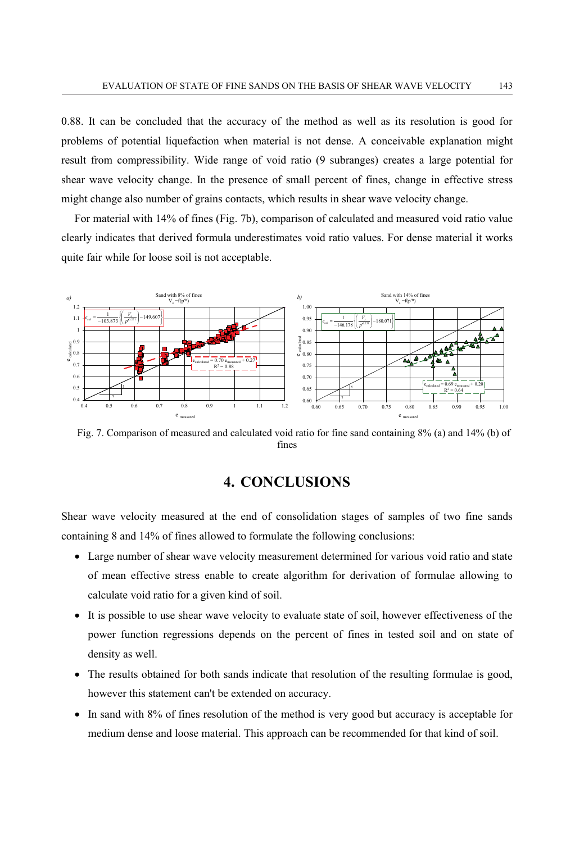0.88. It can be concluded that the accuracy of the method as well as its resolution is good for problems of potential liquefaction when material is not dense. A conceivable explanation might result from compressibility. Wide range of void ratio (9 subranges) creates a large potential for shear wave velocity change. In the presence of small percent of fines, change in effective stress might change also number of grains contacts, which results in shear wave velocity change.

For material with 14% of fines (Fig. 7b), comparison of calculated and measured void ratio value clearly indicates that derived formula underestimates void ratio values. For dense material it works quite fair while for loose soil is not acceptable.



Fig. 7. Comparison of measured and calculated void ratio for fine sand containing 8% (a) and 14% (b) of fines

## **4. CONCLUSIONS**

Shear wave velocity measured at the end of consolidation stages of samples of two fine sands containing 8 and 14% of fines allowed to formulate the following conclusions:

- Large number of shear wave velocity measurement determined for various void ratio and state of mean effective stress enable to create algorithm for derivation of formulae allowing to calculate void ratio for a given kind of soil.
- It is possible to use shear wave velocity to evaluate state of soil, however effectiveness of the power function regressions depends on the percent of fines in tested soil and on state of density as well.
- - The results obtained for both sands indicate that resolution of the resulting formulae is good, however this statement can't be extended on accuracy.
- In sand with 8% of fines resolution of the method is very good but accuracy is acceptable for medium dense and loose material. This approach can be recommended for that kind of soil.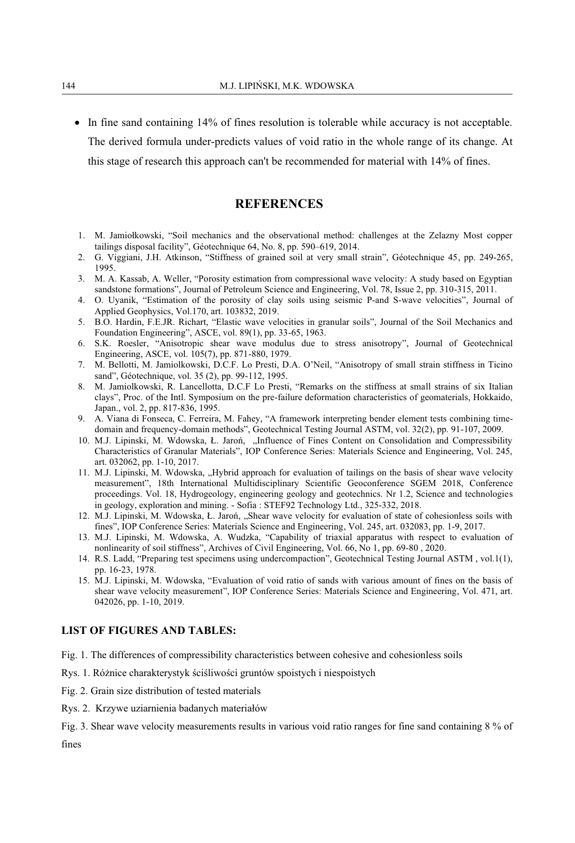- In fine sand containing 14% of fines resolution is tolerable while accuracy is not acceptable. The derived formula under-predicts values of void ratio in the whole range of its change. At this stage of research this approach can't be recommended for material with 14% of fines.

#### **REFERENCES**

- 1. M. Jamiołkowski, "Soil mechanics and the observational method: challenges at the Zelazny Most copper tailings disposal facility", Géotechnique 64, No. 8, pp. 590–619, 2014.
- 2. G. Viggiani, J.H. Atkinson, "Stiffness of grained soil at very small strain", Géotechnique 45, pp. 249-265, 1995.
- 3. M. A. Kassab, A. Weller, "Porosity estimation from compressional wave velocity: A study based on Egyptian sandstone formations", Journal of Petroleum Science and Engineering, Vol. 78, Issue 2, pp. 310-315, 2011.
- 4. O. Uyanik, "Estimation of the porosity of clay soils using seismic P-and S-wave velocities", Journal of Applied Geophysics, Vol.170, art. 103832, 2019.
- 5. B.O. Hardin, F.E.JR. Richart, "Elastic wave velocities in granular soils", Journal of the Soil Mechanics and Foundation Engineering", ASCE, vol. 89(1), pp. 33-65, 1963.
- 6. S.K. Roesler, "Anisotropic shear wave modulus due to stress anisotropy", Journal of Geotechnical Engineering, ASCE, vol. 105(7), pp. 871-880, 1979.
- 7. M. Bellotti, M. Jamiolkowski, D.C.F. Lo Presti, D.A. O'Neil, "Anisotropy of small strain stiffness in Ticino sand", Géotechnique, vol. 35 (2), pp. 99-112, 1995.
- 8. M. Jamiolkowski, R. Lancellotta, D.C.F Lo Presti, "Remarks on the stiffness at small strains of six Italian clays", Proc. of the Intl. Symposium on the pre-failure deformation characteristics of geomaterials, Hokkaido, Japan., vol. 2, pp. 817-836, 1995.
- 9. A. Viana di Fonseca, C. Ferreira, M. Fahey, "A framework interpreting bender element tests combining timedomain and frequency-domain methods", Geotechnical Testing Journal ASTM, vol. 32(2), pp. 91-107, 2009.
- 10. M.J. Lipinski, M. Wdowska, Ł. Jaroń, "Influence of Fines Content on Consolidation and Compressibility Characteristics of Granular Materials", IOP Conference Series: Materials Science and Engineering, Vol. 245, art. 032062, pp. 1-10, 2017.
- 11. M.J. Lipinski, M. Wdowska, "Hybrid approach for evaluation of tailings on the basis of shear wave velocity measurement", 18th International Multidisciplinary Scientific Geoconference SGEM 2018, Conference proceedings. Vol. 18, Hydrogeology, engineering geology and geotechnics. Nr 1.2, Science and technologies in geology, exploration and mining. - Sofia : STEF92 Technology Ltd., 325-332, 2018.
- 12. M.J. Lipinski, M. Wdowska, Ł. Jaroń, "Shear wave velocity for evaluation of state of cohesionless soils with fines", IOP Conference Series: Materials Science and Engineering, Vol. 245, art. 032083, pp. 1-9, 2017.
- 13. M.J. Lipinski, M. Wdowska, A. Wudzka, "Capability of triaxial apparatus with respect to evaluation of nonlinearity of soil stiffness", Archives of Civil Engineering, Vol. 66, No 1, pp. 69-80 , 2020.
- 14. R.S. Ladd, "Preparing test specimens using undercompaction", Geotechnical Testing Journal ASTM , vol.1(1), pp. 16-23, 1978.
- 15. M.J. Lipinski, M. Wdowska, "Evaluation of void ratio of sands with various amount of fines on the basis of shear wave velocity measurement", IOP Conference Series: Materials Science and Engineering, Vol. 471, art. 042026, pp. 1-10, 2019.

#### **LIST OF FIGURES AND TABLES:**

Fig. 1. The differences of compressibility characteristics between cohesive and cohesionless soils

- Rys. 1. Różnice charakterystyk ściśliwości gruntów spoistych i niespoistych
- Fig. 2. Grain size distribution of tested materials
- Rys. 2. Krzywe uziarnienia badanych materiałów

Fig. 3. Shear wave velocity measurements results in various void ratio ranges for fine sand containing 8 % of fines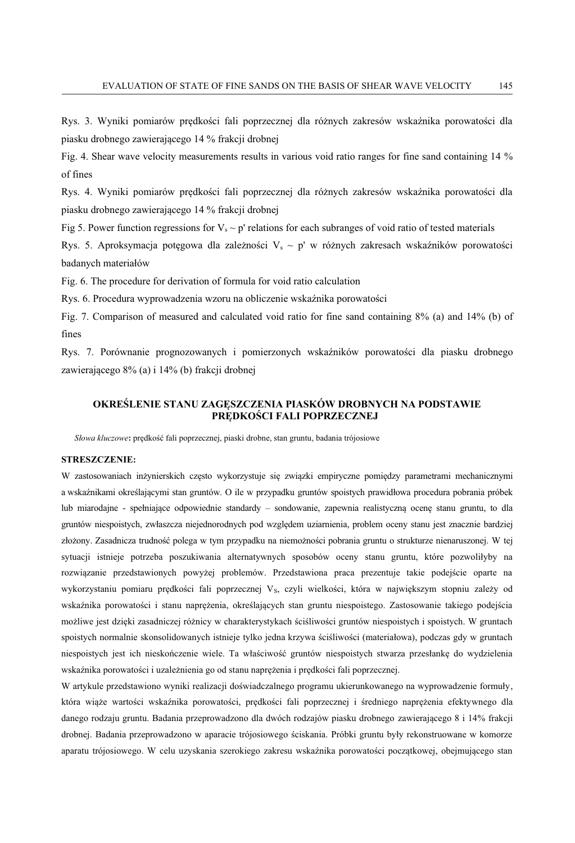Rys. 3. Wyniki pomiarów prędkości fali poprzecznej dla różnych zakresów wskaźnika porowatości dla piasku drobnego zawierającego 14 % frakcji drobnej

Fig. 4. Shear wave velocity measurements results in various void ratio ranges for fine sand containing 14 % of fines

Rys. 4. Wyniki pomiarów prędkości fali poprzecznej dla różnych zakresów wskaźnika porowatości dla piasku drobnego zawierającego 14 % frakcji drobnej

Fig 5. Power function regressions for  $V_s \sim p'$  relations for each subranges of void ratio of tested materials

Rys. 5. Aproksymacja potęgowa dla zależności  $V_s \sim p'$  w różnych zakresach wskaźników porowatości badanych materiałów

Fig. 6. The procedure for derivation of formula for void ratio calculation

Rys. 6. Procedura wyprowadzenia wzoru na obliczenie wskaźnika porowatości

Fig. 7. Comparison of measured and calculated void ratio for fine sand containing 8% (a) and 14% (b) of fines

Rys. 7. Porównanie prognozowanych i pomierzonych wskaźników porowatości dla piasku drobnego zawierającego 8% (a) i 14% (b) frakcji drobnej

#### **OKREŚLENIE STANU ZAGĘSZCZENIA PIASKÓW DROBNYCH NA PODSTAWIE PRĘDKOŚCI FALI POPRZECZNEJ**

*Słowa kluczowe***:** prędkość fali poprzecznej, piaski drobne, stan gruntu, badania trójosiowe

#### **STRESZCZENIE:**

W zastosowaniach inżynierskich często wykorzystuje się związki empiryczne pomiędzy parametrami mechanicznymi a wskaźnikami określającymi stan gruntów. O ile w przypadku gruntów spoistych prawidłowa procedura pobrania próbek lub miarodajne - spełniające odpowiednie standardy – sondowanie, zapewnia realistyczną ocenę stanu gruntu, to dla gruntów niespoistych, zwłaszcza niejednorodnych pod względem uziarnienia, problem oceny stanu jest znacznie bardziej złożony. Zasadnicza trudność polega w tym przypadku na niemożności pobrania gruntu o strukturze nienaruszonej. W tej sytuacji istnieje potrzeba poszukiwania alternatywnych sposobów oceny stanu gruntu, które pozwoliłyby na rozwiązanie przedstawionych powyżej problemów. Przedstawiona praca prezentuje takie podejście oparte na wykorzystaniu pomiaru prędkości fali poprzecznej Vs, czyli wielkości, która w największym stopniu zależy od wskaźnika porowatości i stanu naprężenia, określających stan gruntu niespoistego. Zastosowanie takiego podejścia możliwe jest dzięki zasadniczej różnicy w charakterystykach ściśliwości gruntów niespoistych i spoistych. W gruntach spoistych normalnie skonsolidowanych istnieje tylko jedna krzywa ściśliwości (materiałowa), podczas gdy w gruntach niespoistych jest ich nieskończenie wiele. Ta właściwość gruntów niespoistych stwarza przesłankę do wydzielenia wskaźnika porowatości i uzależnienia go od stanu naprężenia i prędkości fali poprzecznej.

W artykule przedstawiono wyniki realizacji doświadczalnego programu ukierunkowanego na wyprowadzenie formuły, która wiąże wartości wskaźnika porowatości, prędkości fali poprzecznej i średniego naprężenia efektywnego dla danego rodzaju gruntu. Badania przeprowadzono dla dwóch rodzajów piasku drobnego zawierającego 8 i 14% frakcji drobnej. Badania przeprowadzono w aparacie trójosiowego ściskania. Próbki gruntu były rekonstruowane w komorze aparatu trójosiowego. W celu uzyskania szerokiego zakresu wskaźnika porowatości początkowej, obejmującego stan